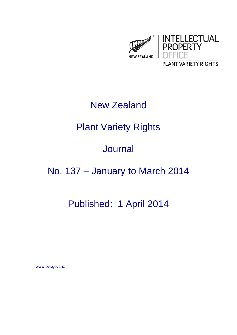

# New Zealand

# Plant Variety Rights

### Journal

# No. 137 – January to March 2014

### Published: 1 April 2014

www.pvr.govt.nz